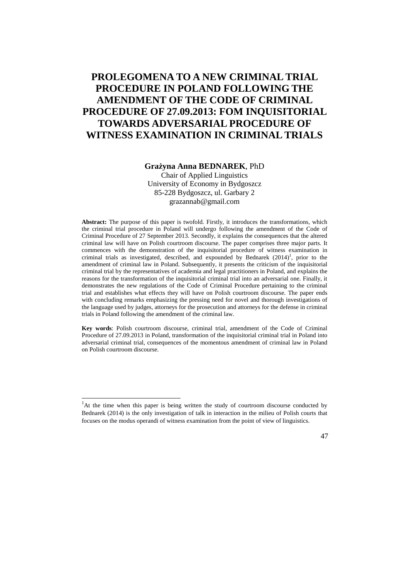# **PROLEGOMENA TO A NEW CRIMINAL TRIAL PROCEDURE IN POLAND FOLLOWING THE AMENDMENT OF THE CODE OF CRIMINAL PROCEDURE OF 27.09.2013: FOM INQUISITORIAL TOWARDS ADVERSARIAL PROCEDURE OF WITNESS EXAMINATION IN CRIMINAL TRIALS**

#### **Grażyna Anna BEDNAREK**, PhD

Chair of Applied Linguistics University of Economy in Bydgoszcz 85-228 Bydgoszcz, ul. Garbary 2 grazannab@gmail.com

**Abstract:** The purpose of this paper is twofold. Firstly, it introduces the transformations, which the criminal trial procedure in Poland will undergo following the amendment of the Code of Criminal Procedure of 27 September 2013. Secondly, it explains the consequences that the altered criminal law will have on Polish courtroom discourse. The paper comprises three major parts. It commences with the demonstration of the inquisitorial procedure of witness examination in criminal trials as investigated, described, and expounded by Bednarek  $(2014)^1$ , prior to the amendment of criminal law in Poland. Subsequently, it presents the criticism of the inquisitorial criminal trial by the representatives of academia and legal practitioners in Poland, and explains the reasons for the transformation of the inquisitorial criminal trial into an adversarial one. Finally, it demonstrates the new regulations of the Code of Criminal Procedure pertaining to the criminal trial and establishes what effects they will have on Polish courtroom discourse. The paper ends with concluding remarks emphasizing the pressing need for novel and thorough investigations of the language used by judges, attorneys for the prosecution and attorneys for the defense in criminal trials in Poland following the amendment of the criminal law.

**Key words**: Polish courtroom discourse, criminal trial, amendment of the Code of Criminal Procedure of 27.09.2013 in Poland, transformation of the inquisitorial criminal trial in Poland into adversarial criminal trial, consequences of the momentous amendment of criminal law in Poland on Polish courtroom discourse.

.

 $<sup>1</sup>$ At the time when this paper is being written the study of courtroom discourse conducted by</sup> Bednarek (2014) is the only investigation of talk in interaction in the milieu of Polish courts that focuses on the modus operandi of witness examination from the point of view of linguistics.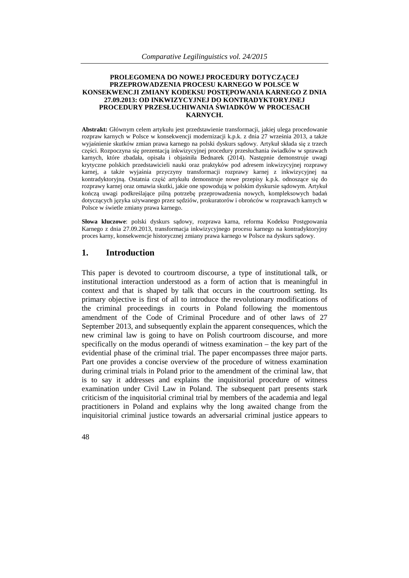#### **PROLEGOMENA DO NOWEJ PROCEDURY DOTYCZĄCEJ PRZEPROWADZENIA PROCESU KARNEGO W POLSCE W KONSEKWENCJI ZMIANY KODEKSU POSTĘPOWANIA KARNEGO Z DNIA 27.09.2013: OD INKWIZYCYJNEJ DO KONTRADYKTORYJNEJ PROCEDURY PRZESŁUCHIWANIA ŚWIADKÓW W PROCESACH KARNYCH.**

**Abstrakt:** Głównym celem artykułu jest przedstawienie transformacji, jakiej ulega procedowanie rozpraw karnych w Polsce w konsekwencji modernizacji k.p.k. z dnia 27 września 2013, a także wyjaśnienie skutków zmian prawa karnego na polski dyskurs sądowy. Artykuł składa się z trzech części. Rozpoczyna się prezentacją inkwizycyjnej procedury przesłuchania świadków w sprawach karnych, które zbadała, opisała i objaśniła Bednarek (2014). Następnie demonstruje uwagi krytyczne polskich przedstawicieli nauki oraz praktyków pod adresem inkwizycyjnej rozprawy karnej, a także wyjaśnia przyczyny transformacji rozprawy karnej z inkwizycyjnej na kontradyktoryjną. Ostatnia część artykułu demonstruje nowe przepisy k.p.k. odnoszące się do rozprawy karnej oraz omawia skutki, jakie one spowodują w polskim dyskursie sądowym. Artykuł kończą uwagi podkreślające pilną potrzebę przeprowadzenia nowych, kompleksowych badań dotyczących języka używanego przez sędziów, prokuratorów i obrońców w rozprawach karnych w Polsce w świetle zmiany prawa karnego.

**Słowa kluczowe**: polski dyskurs sądowy, rozprawa karna, reforma Kodeksu Postępowania Karnego z dnia 27.09.2013, transformacja inkwizycyjnego procesu karnego na kontradyktoryjny proces karny, konsekwencje historycznej zmiany prawa karnego w Polsce na dyskurs sądowy.

### **1. Introduction**

This paper is devoted to courtroom discourse, a type of institutional talk, or institutional interaction understood as a form of action that is meaningful in context and that is shaped by talk that occurs in the courtroom setting. Its primary objective is first of all to introduce the revolutionary modifications of the criminal proceedings in courts in Poland following the momentous amendment of the Code of Criminal Procedure and of other laws of 27 September 2013, and subsequently explain the apparent consequences, which the new criminal law is going to have on Polish courtroom discourse, and more specifically on the modus operandi of witness examination – the key part of the evidential phase of the criminal trial. The paper encompasses three major parts. Part one provides a concise overview of the procedure of witness examination during criminal trials in Poland prior to the amendment of the criminal law, that is to say it addresses and explains the inquisitorial procedure of witness examination under Civil Law in Poland. The subsequent part presents stark criticism of the inquisitorial criminal trial by members of the academia and legal practitioners in Poland and explains why the long awaited change from the inquisitorial criminal justice towards an adversarial criminal justice appears to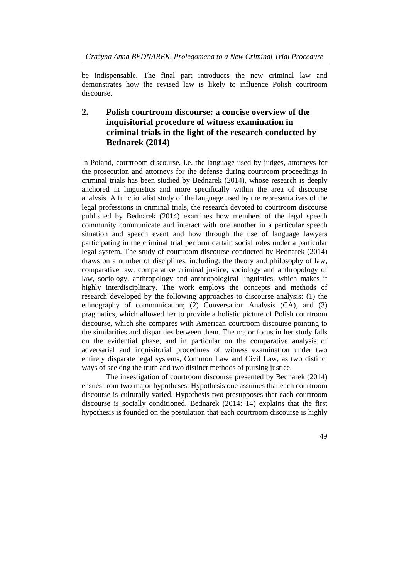be indispensable. The final part introduces the new criminal law and demonstrates how the revised law is likely to influence Polish courtroom discourse.

# **2. Polish courtroom discourse: a concise overview of the inquisitorial procedure of witness examination in criminal trials in the light of the research conducted by Bednarek (2014)**

In Poland, courtroom discourse, i.e. the language used by judges, attorneys for the prosecution and attorneys for the defense during courtroom proceedings in criminal trials has been studied by Bednarek (2014), whose research is deeply anchored in linguistics and more specifically within the area of discourse analysis. A functionalist study of the language used by the representatives of the legal professions in criminal trials, the research devoted to courtroom discourse published by Bednarek (2014) examines how members of the legal speech community communicate and interact with one another in a particular speech situation and speech event and how through the use of language lawyers participating in the criminal trial perform certain social roles under a particular legal system. The study of courtroom discourse conducted by Bednarek (2014) draws on a number of disciplines, including: the theory and philosophy of law, comparative law, comparative criminal justice, sociology and anthropology of law, sociology, anthropology and anthropological linguistics, which makes it highly interdisciplinary. The work employs the concepts and methods of research developed by the following approaches to discourse analysis: (1) the ethnography of communication; (2) Conversation Analysis (CA), and (3) pragmatics, which allowed her to provide a holistic picture of Polish courtroom discourse, which she compares with American courtroom discourse pointing to the similarities and disparities between them. The major focus in her study falls on the evidential phase, and in particular on the comparative analysis of adversarial and inquisitorial procedures of witness examination under two entirely disparate legal systems, Common Law and Civil Law, as two distinct ways of seeking the truth and two distinct methods of pursing justice.

The investigation of courtroom discourse presented by Bednarek (2014) ensues from two major hypotheses. Hypothesis one assumes that each courtroom discourse is culturally varied. Hypothesis two presupposes that each courtroom discourse is socially conditioned. Bednarek (2014: 14) explains that the first hypothesis is founded on the postulation that each courtroom discourse is highly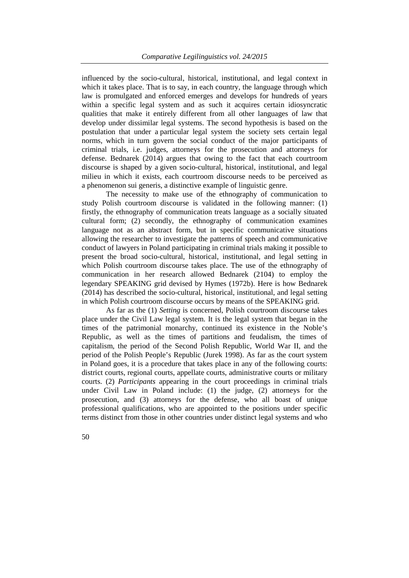influenced by the socio-cultural, historical, institutional, and legal context in which it takes place. That is to say, in each country, the language through which law is promulgated and enforced emerges and develops for hundreds of years within a specific legal system and as such it acquires certain idiosyncratic qualities that make it entirely different from all other languages of law that develop under dissimilar legal systems. The second hypothesis is based on the postulation that under a particular legal system the society sets certain legal norms, which in turn govern the social conduct of the major participants of criminal trials, i.e. judges, attorneys for the prosecution and attorneys for defense. Bednarek (2014) argues that owing to the fact that each courtroom discourse is shaped by a given socio-cultural, historical, institutional, and legal milieu in which it exists, each courtroom discourse needs to be perceived as a phenomenon sui generis, a distinctive example of linguistic genre.

The necessity to make use of the ethnography of communication to study Polish courtroom discourse is validated in the following manner: (1) firstly, the ethnography of communication treats language as a socially situated cultural form; (2) secondly, the ethnography of communication examines language not as an abstract form, but in specific communicative situations allowing the researcher to investigate the patterns of speech and communicative conduct of lawyers in Poland participating in criminal trials making it possible to present the broad socio-cultural, historical, institutional, and legal setting in which Polish courtroom discourse takes place. The use of the ethnography of communication in her research allowed Bednarek (2104) to employ the legendary SPEAKING grid devised by Hymes (1972b). Here is how Bednarek (2014) has described the socio-cultural, historical, institutional, and legal setting in which Polish courtroom discourse occurs by means of the SPEAKING grid.

As far as the (1) *Setting* is concerned, Polish courtroom discourse takes place under the Civil Law legal system. It is the legal system that began in the times of the patrimonial monarchy, continued its existence in the Noble's Republic, as well as the times of partitions and feudalism, the times of capitalism, the period of the Second Polish Republic, World War II, and the period of the Polish People's Republic (Jurek 1998). As far as the court system in Poland goes, it is a procedure that takes place in any of the following courts: district courts, regional courts, appellate courts, administrative courts or military courts. (2) *Participants* appearing in the court proceedings in criminal trials under Civil Law in Poland include: (1) the judge, (2) attorneys for the prosecution, and (3) attorneys for the defense, who all boast of unique professional qualifications, who are appointed to the positions under specific terms distinct from those in other countries under distinct legal systems and who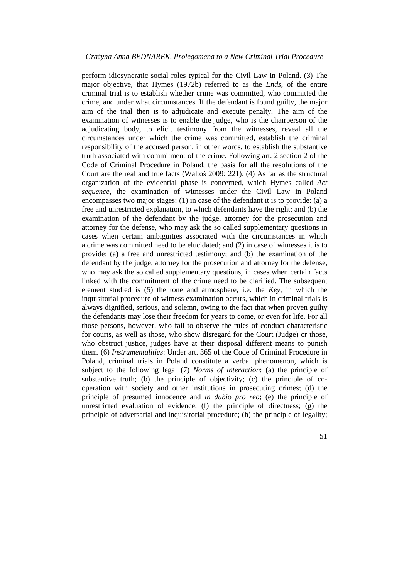perform idiosyncratic social roles typical for the Civil Law in Poland. (3) The major objective, that Hymes (1972b) referred to as the *Ends*, of the entire criminal trial is to establish whether crime was committed, who committed the crime, and under what circumstances. If the defendant is found guilty, the major aim of the trial then is to adjudicate and execute penalty. The aim of the examination of witnesses is to enable the judge, who is the chairperson of the adjudicating body, to elicit testimony from the witnesses, reveal all the circumstances under which the crime was committed, establish the criminal responsibility of the accused person, in other words, to establish the substantive truth associated with commitment of the crime. Following art. 2 section 2 of the Code of Criminal Procedure in Poland, the basis for all the resolutions of the Court are the real and true facts (Waltoś 2009: 221). (4) As far as the structural organization of the evidential phase is concerned, which Hymes called *Act sequence*, the examination of witnesses under the Civil Law in Poland encompasses two major stages: (1) in case of the defendant it is to provide: (a) a free and unrestricted explanation, to which defendants have the right; and (b) the examination of the defendant by the judge, attorney for the prosecution and attorney for the defense, who may ask the so called supplementary questions in cases when certain ambiguities associated with the circumstances in which a crime was committed need to be elucidated; and (2) in case of witnesses it is to provide: (a) a free and unrestricted testimony; and (b) the examination of the defendant by the judge, attorney for the prosecution and attorney for the defense, who may ask the so called supplementary questions, in cases when certain facts linked with the commitment of the crime need to be clarified. The subsequent element studied is (5) the tone and atmosphere, i.e. the *Key*, in which the inquisitorial procedure of witness examination occurs, which in criminal trials is always dignified, serious, and solemn, owing to the fact that when proven guilty the defendants may lose their freedom for years to come, or even for life. For all those persons, however, who fail to observe the rules of conduct characteristic for courts, as well as those, who show disregard for the Court (Judge) or those, who obstruct justice, judges have at their disposal different means to punish them. (6) *Instrumentalities*: Under art. 365 of the Code of Criminal Procedure in Poland, criminal trials in Poland constitute a verbal phenomenon, which is subject to the following legal (7) *Norms of interaction*: (a) the principle of substantive truth; (b) the principle of objectivity; (c) the principle of cooperation with society and other institutions in prosecuting crimes; (d) the principle of presumed innocence and *in dubio pro reo*; (e) the principle of unrestricted evaluation of evidence; (f) the principle of directness; (g) the principle of adversarial and inquisitorial procedure; (h) the principle of legality;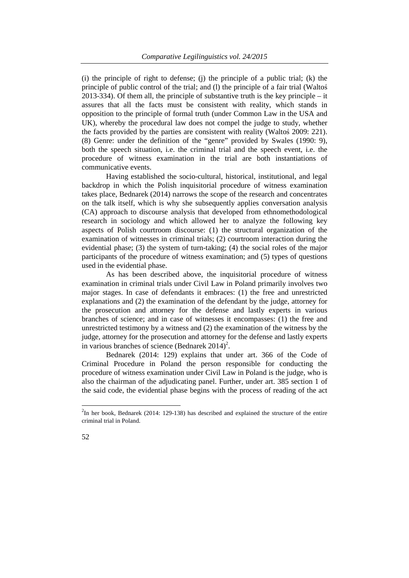$(i)$  the principle of right to defense;  $(i)$  the principle of a public trial;  $(k)$  the principle of public control of the trial; and (l) the principle of a fair trial (Waltoś 2013-334). Of them all, the principle of substantive truth is the key principle – it assures that all the facts must be consistent with reality, which stands in opposition to the principle of formal truth (under Common Law in the USA and UK), whereby the procedural law does not compel the judge to study, whether the facts provided by the parties are consistent with reality (Waltoś 2009: 221). (8) Genre: under the definition of the "genre" provided by Swales (1990: 9), both the speech situation, i.e. the criminal trial and the speech event, i.e. the procedure of witness examination in the trial are both instantiations of communicative events.

Having established the socio-cultural, historical, institutional, and legal backdrop in which the Polish inquisitorial procedure of witness examination takes place, Bednarek (2014) narrows the scope of the research and concentrates on the talk itself, which is why she subsequently applies conversation analysis (CA) approach to discourse analysis that developed from ethnomethodological research in sociology and which allowed her to analyze the following key aspects of Polish courtroom discourse: (1) the structural organization of the examination of witnesses in criminal trials; (2) courtroom interaction during the evidential phase; (3) the system of turn-taking; (4) the social roles of the major participants of the procedure of witness examination; and (5) types of questions used in the evidential phase.

As has been described above, the inquisitorial procedure of witness examination in criminal trials under Civil Law in Poland primarily involves two major stages. In case of defendants it embraces: (1) the free and unrestricted explanations and (2) the examination of the defendant by the judge, attorney for the prosecution and attorney for the defense and lastly experts in various branches of science; and in case of witnesses it encompasses: (1) the free and unrestricted testimony by a witness and (2) the examination of the witness by the judge, attorney for the prosecution and attorney for the defense and lastly experts in various branches of science (Bednarek  $2014$ )<sup>2</sup>.

Bednarek (2014: 129) explains that under art. 366 of the Code of Criminal Procedure in Poland the person responsible for conducting the procedure of witness examination under Civil Law in Poland is the judge, who is also the chairman of the adjudicating panel. Further, under art. 385 section 1 of the said code, the evidential phase begins with the process of reading of the act

1

 $2$ In her book, Bednarek (2014: 129-138) has described and explained the structure of the entire criminal trial in Poland.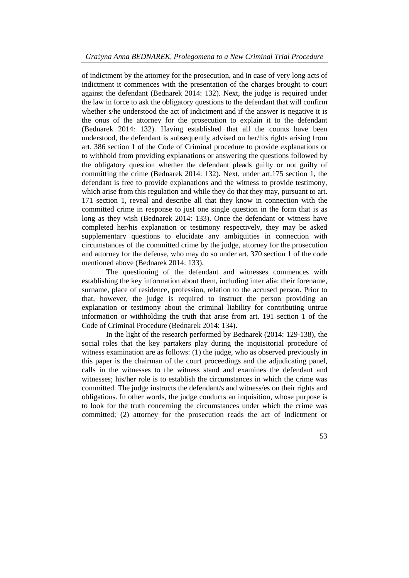of indictment by the attorney for the prosecution, and in case of very long acts of indictment it commences with the presentation of the charges brought to court against the defendant (Bednarek 2014: 132). Next, the judge is required under the law in force to ask the obligatory questions to the defendant that will confirm whether s/he understood the act of indictment and if the answer is negative it is the onus of the attorney for the prosecution to explain it to the defendant (Bednarek 2014: 132). Having established that all the counts have been understood, the defendant is subsequently advised on her/his rights arising from art. 386 section 1 of the Code of Criminal procedure to provide explanations or to withhold from providing explanations or answering the questions followed by the obligatory question whether the defendant pleads guilty or not guilty of committing the crime (Bednarek 2014: 132). Next, under art.175 section 1, the defendant is free to provide explanations and the witness to provide testimony, which arise from this regulation and while they do that they may, pursuant to art. 171 section 1, reveal and describe all that they know in connection with the committed crime in response to just one single question in the form that is as long as they wish (Bednarek 2014: 133). Once the defendant or witness have completed her/his explanation or testimony respectively, they may be asked supplementary questions to elucidate any ambiguities in connection with circumstances of the committed crime by the judge, attorney for the prosecution and attorney for the defense, who may do so under art. 370 section 1 of the code mentioned above (Bednarek 2014: 133).

The questioning of the defendant and witnesses commences with establishing the key information about them, including inter alia: their forename, surname, place of residence, profession, relation to the accused person. Prior to that, however, the judge is required to instruct the person providing an explanation or testimony about the criminal liability for contributing untrue information or withholding the truth that arise from art. 191 section 1 of the Code of Criminal Procedure (Bednarek 2014: 134).

In the light of the research performed by Bednarek (2014: 129-138), the social roles that the key partakers play during the inquisitorial procedure of witness examination are as follows: (1) the judge, who as observed previously in this paper is the chairman of the court proceedings and the adjudicating panel, calls in the witnesses to the witness stand and examines the defendant and witnesses; his/her role is to establish the circumstances in which the crime was committed. The judge instructs the defendant/s and witness/es on their rights and obligations. In other words, the judge conducts an inquisition, whose purpose is to look for the truth concerning the circumstances under which the crime was committed; (2) attorney for the prosecution reads the act of indictment or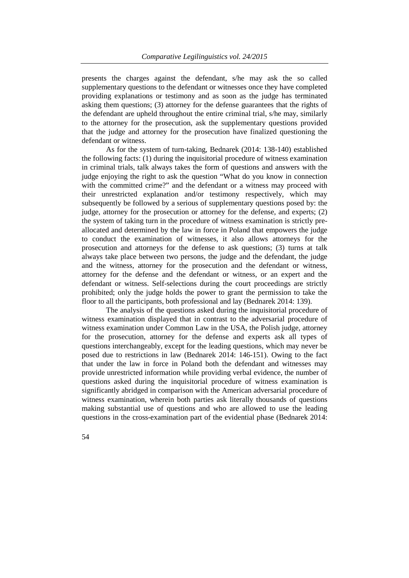presents the charges against the defendant, s/he may ask the so called supplementary questions to the defendant or witnesses once they have completed providing explanations or testimony and as soon as the judge has terminated asking them questions; (3) attorney for the defense guarantees that the rights of the defendant are upheld throughout the entire criminal trial, s/he may, similarly to the attorney for the prosecution, ask the supplementary questions provided that the judge and attorney for the prosecution have finalized questioning the defendant or witness.

As for the system of turn-taking, Bednarek (2014: 138-140) established the following facts: (1) during the inquisitorial procedure of witness examination in criminal trials, talk always takes the form of questions and answers with the judge enjoying the right to ask the question "What do you know in connection with the committed crime?" and the defendant or a witness may proceed with their unrestricted explanation and/or testimony respectively, which may subsequently be followed by a serious of supplementary questions posed by: the judge, attorney for the prosecution or attorney for the defense, and experts; (2) the system of taking turn in the procedure of witness examination is strictly preallocated and determined by the law in force in Poland that empowers the judge to conduct the examination of witnesses, it also allows attorneys for the prosecution and attorneys for the defense to ask questions; (3) turns at talk always take place between two persons, the judge and the defendant, the judge and the witness, attorney for the prosecution and the defendant or witness, attorney for the defense and the defendant or witness, or an expert and the defendant or witness. Self-selections during the court proceedings are strictly prohibited; only the judge holds the power to grant the permission to take the floor to all the participants, both professional and lay (Bednarek 2014: 139).

The analysis of the questions asked during the inquisitorial procedure of witness examination displayed that in contrast to the adversarial procedure of witness examination under Common Law in the USA, the Polish judge, attorney for the prosecution, attorney for the defense and experts ask all types of questions interchangeably, except for the leading questions, which may never be posed due to restrictions in law (Bednarek 2014: 146-151). Owing to the fact that under the law in force in Poland both the defendant and witnesses may provide unrestricted information while providing verbal evidence, the number of questions asked during the inquisitorial procedure of witness examination is significantly abridged in comparison with the American adversarial procedure of witness examination, wherein both parties ask literally thousands of questions making substantial use of questions and who are allowed to use the leading questions in the cross-examination part of the evidential phase (Bednarek 2014: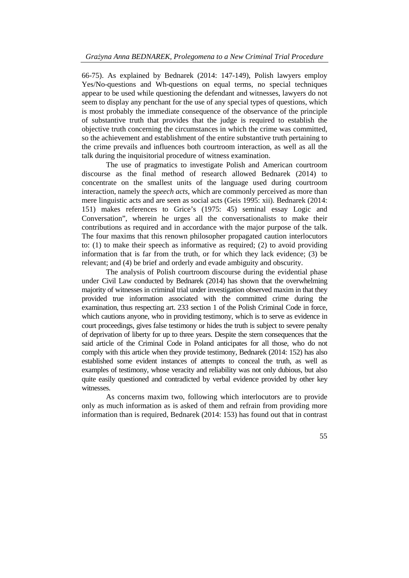66-75). As explained by Bednarek (2014: 147-149), Polish lawyers employ Yes/No-questions and Wh-questions on equal terms, no special techniques appear to be used while questioning the defendant and witnesses, lawyers do not seem to display any penchant for the use of any special types of questions, which is most probably the immediate consequence of the observance of the principle of substantive truth that provides that the judge is required to establish the objective truth concerning the circumstances in which the crime was committed, so the achievement and establishment of the entire substantive truth pertaining to the crime prevails and influences both courtroom interaction, as well as all the talk during the inquisitorial procedure of witness examination.

The use of pragmatics to investigate Polish and American courtroom discourse as the final method of research allowed Bednarek (2014) to concentrate on the smallest units of the language used during courtroom interaction, namely the *speech acts*, which are commonly perceived as more than mere linguistic acts and are seen as social acts (Geis 1995: xii). Bednarek (2014: 151) makes references to Grice's (1975: 45) seminal essay Logic and Conversation", wherein he urges all the conversationalists to make their contributions as required and in accordance with the major purpose of the talk. The four maxims that this renown philosopher propagated caution interlocutors to: (1) to make their speech as informative as required; (2) to avoid providing information that is far from the truth, or for which they lack evidence; (3) be relevant; and (4) be brief and orderly and evade ambiguity and obscurity.

The analysis of Polish courtroom discourse during the evidential phase under Civil Law conducted by Bednarek (2014) has shown that the overwhelming majority of witnesses in criminal trial under investigation observed maxim in that they provided true information associated with the committed crime during the examination, thus respecting art. 233 section 1 of the Polish Criminal Code in force, which cautions anyone, who in providing testimony, which is to serve as evidence in court proceedings, gives false testimony or hides the truth is subject to severe penalty of deprivation of liberty for up to three years. Despite the stern consequences that the said article of the Criminal Code in Poland anticipates for all those, who do not comply with this article when they provide testimony, Bednarek (2014: 152) has also established some evident instances of attempts to conceal the truth, as well as examples of testimony, whose veracity and reliability was not only dubious, but also quite easily questioned and contradicted by verbal evidence provided by other key witnesses.

As concerns maxim two, following which interlocutors are to provide only as much information as is asked of them and refrain from providing more information than is required, Bednarek (2014: 153) has found out that in contrast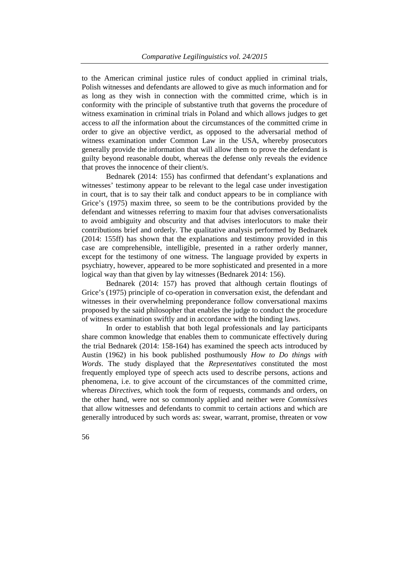to the American criminal justice rules of conduct applied in criminal trials, Polish witnesses and defendants are allowed to give as much information and for as long as they wish in connection with the committed crime, which is in conformity with the principle of substantive truth that governs the procedure of witness examination in criminal trials in Poland and which allows judges to get access to *all* the information about the circumstances of the committed crime in order to give an objective verdict, as opposed to the adversarial method of witness examination under Common Law in the USA, whereby prosecutors generally provide the information that will allow them to prove the defendant is guilty beyond reasonable doubt, whereas the defense only reveals the evidence that proves the innocence of their client/s.

Bednarek (2014: 155) has confirmed that defendant's explanations and witnesses' testimony appear to be relevant to the legal case under investigation in court, that is to say their talk and conduct appears to be in compliance with Grice's (1975) maxim three, so seem to be the contributions provided by the defendant and witnesses referring to maxim four that advises conversationalists to avoid ambiguity and obscurity and that advises interlocutors to make their contributions brief and orderly. The qualitative analysis performed by Bednarek (2014: 155ff) has shown that the explanations and testimony provided in this case are comprehensible, intelligible, presented in a rather orderly manner, except for the testimony of one witness. The language provided by experts in psychiatry, however, appeared to be more sophisticated and presented in a more logical way than that given by lay witnesses (Bednarek 2014: 156).

Bednarek (2014: 157) has proved that although certain floutings of Grice's (1975) principle of co-operation in conversation exist, the defendant and witnesses in their overwhelming preponderance follow conversational maxims proposed by the said philosopher that enables the judge to conduct the procedure of witness examination swiftly and in accordance with the binding laws.

In order to establish that both legal professionals and lay participants share common knowledge that enables them to communicate effectively during the trial Bednarek (2014: 158-164) has examined the speech acts introduced by Austin (1962) in his book published posthumously *How to Do things with Words*. The study displayed that the *Representatives* constituted the most frequently employed type of speech acts used to describe persons, actions and phenomena, i.e. to give account of the circumstances of the committed crime, whereas *Directives*, which took the form of requests, commands and orders, on the other hand, were not so commonly applied and neither were *Commissives* that allow witnesses and defendants to commit to certain actions and which are generally introduced by such words as: swear, warrant, promise, threaten or vow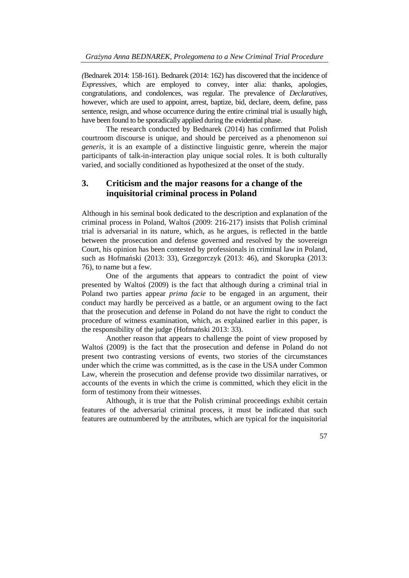*(*Bednarek 2014: 158-161). Bednarek (2014: 162) has discovered that the incidence of *Expressives*, which are employed to convey, inter alia: thanks, apologies, congratulations, and condolences, was regular. The prevalence of *Declaratives*, however, which are used to appoint, arrest, baptize, bid, declare, deem, define, pass sentence, resign, and whose occurrence during the entire criminal trial is usually high, have been found to be sporadically applied during the evidential phase.

The research conducted by Bednarek (2014) has confirmed that Polish courtroom discourse is unique, and should be perceived as a phenomenon *sui generis*, it is an example of a distinctive linguistic genre, wherein the major participants of talk-in-interaction play unique social roles. It is both culturally varied, and socially conditioned as hypothesized at the onset of the study.

# **3. Criticism and the major reasons for a change of the inquisitorial criminal process in Poland**

Although in his seminal book dedicated to the description and explanation of the criminal process in Poland, Waltoś (2009: 216-217) insists that Polish criminal trial is adversarial in its nature, which, as he argues, is reflected in the battle between the prosecution and defense governed and resolved by the sovereign Court, his opinion has been contested by professionals in criminal law in Poland, such as Hofmański (2013: 33), Grzegorczyk (2013: 46), and Skorupka (2013: 76), to name but a few.

One of the arguments that appears to contradict the point of view presented by Waltoś (2009) is the fact that although during a criminal trial in Poland two parties appear *prima facie* to be engaged in an argument, their conduct may hardly be perceived as a battle, or an argument owing to the fact that the prosecution and defense in Poland do not have the right to conduct the procedure of witness examination, which, as explained earlier in this paper, is the responsibility of the judge (Hofmański 2013: 33).

Another reason that appears to challenge the point of view proposed by Waltoś (2009) is the fact that the prosecution and defense in Poland do not present two contrasting versions of events, two stories of the circumstances under which the crime was committed, as is the case in the USA under Common Law, wherein the prosecution and defense provide two dissimilar narratives, or accounts of the events in which the crime is committed, which they elicit in the form of testimony from their witnesses.

Although, it is true that the Polish criminal proceedings exhibit certain features of the adversarial criminal process, it must be indicated that such features are outnumbered by the attributes, which are typical for the inquisitorial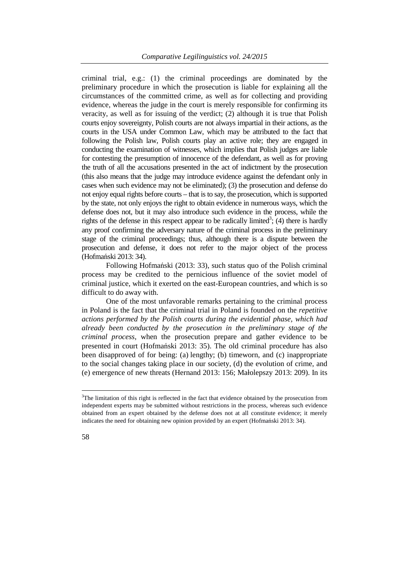criminal trial, e.g.: (1) the criminal proceedings are dominated by the preliminary procedure in which the prosecution is liable for explaining all the circumstances of the committed crime, as well as for collecting and providing evidence, whereas the judge in the court is merely responsible for confirming its veracity, as well as for issuing of the verdict; (2) although it is true that Polish courts enjoy sovereignty, Polish courts are not always impartial in their actions, as the courts in the USA under Common Law, which may be attributed to the fact that following the Polish law, Polish courts play an active role; they are engaged in conducting the examination of witnesses, which implies that Polish judges are liable for contesting the presumption of innocence of the defendant, as well as for proving the truth of all the accusations presented in the act of indictment by the prosecution (this also means that the judge may introduce evidence against the defendant only in cases when such evidence may not be eliminated); (3) the prosecution and defense do not enjoy equal rights before courts – that is to say, the prosecution, which is supported by the state, not only enjoys the right to obtain evidence in numerous ways, which the defense does not, but it may also introduce such evidence in the process, while the rights of the defense in this respect appear to be radically limited<sup>3</sup>; (4) there is hardly any proof confirming the adversary nature of the criminal process in the preliminary stage of the criminal proceedings; thus, although there is a dispute between the prosecution and defense, it does not refer to the major object of the process (Hofmański 2013: 34).

Following Hofmański (2013: 33), such status quo of the Polish criminal process may be credited to the pernicious influence of the soviet model of criminal justice, which it exerted on the east-European countries, and which is so difficult to do away with.

 One of the most unfavorable remarks pertaining to the criminal process in Poland is the fact that the criminal trial in Poland is founded on the *repetitive actions performed by the Polish courts during the evidential phase, which had already been conducted by the prosecution in the preliminary stage of the criminal process*, when the prosecution prepare and gather evidence to be presented in court (Hofmański 2013: 35). The old criminal procedure has also been disapproved of for being: (a) lengthy; (b) timeworn, and (c) inappropriate to the social changes taking place in our society, (d) the evolution of crime, and (e) emergence of new threats (Hernand 2013: 156; Małolepszy 2013: 209). In its

1

 $3$ The limitation of this right is reflected in the fact that evidence obtained by the prosecution from independent experts may be submitted without restrictions in the process, whereas such evidence obtained from an expert obtained by the defense does not at all constitute evidence; it merely indicates the need for obtaining new opinion provided by an expert (Hofmański 2013: 34).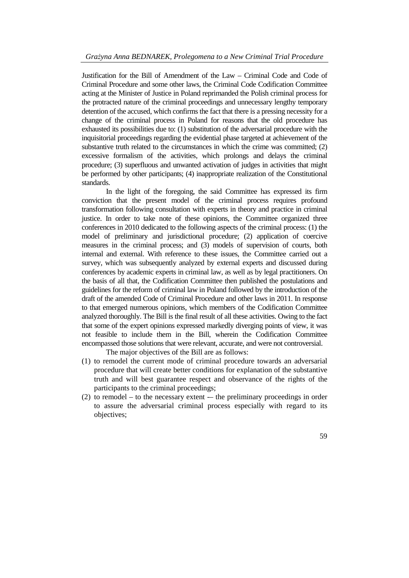Justification for the Bill of Amendment of the Law – Criminal Code and Code of Criminal Procedure and some other laws, the Criminal Code Codification Committee acting at the Minister of Justice in Poland reprimanded the Polish criminal process for the protracted nature of the criminal proceedings and unnecessary lengthy temporary detention of the accused, which confirms the fact that there is a pressing necessity for a change of the criminal process in Poland for reasons that the old procedure has exhausted its possibilities due to: (1) substitution of the adversarial procedure with the inquisitorial proceedings regarding the evidential phase targeted at achievement of the substantive truth related to the circumstances in which the crime was committed; (2) excessive formalism of the activities, which prolongs and delays the criminal procedure; (3) superfluous and unwanted activation of judges in activities that might be performed by other participants; (4) inappropriate realization of the Constitutional standards.

In the light of the foregoing, the said Committee has expressed its firm conviction that the present model of the criminal process requires profound transformation following consultation with experts in theory and practice in criminal justice. In order to take note of these opinions, the Committee organized three conferences in 2010 dedicated to the following aspects of the criminal process: (1) the model of preliminary and jurisdictional procedure; (2) application of coercive measures in the criminal process; and (3) models of supervision of courts, both internal and external. With reference to these issues, the Committee carried out a survey, which was subsequently analyzed by external experts and discussed during conferences by academic experts in criminal law, as well as by legal practitioners. On the basis of all that, the Codification Committee then published the postulations and guidelines for the reform of criminal law in Poland followed by the introduction of the draft of the amended Code of Criminal Procedure and other laws in 2011. In response to that emerged numerous opinions, which members of the Codification Committee analyzed thoroughly. The Bill is the final result of all these activities. Owing to the fact that some of the expert opinions expressed markedly diverging points of view, it was not feasible to include them in the Bill, wherein the Codification Committee encompassed those solutions that were relevant, accurate, and were not controversial.

The major objectives of the Bill are as follows:

- (1) to remodel the current mode of criminal procedure towards an adversarial procedure that will create better conditions for explanation of the substantive truth and will best guarantee respect and observance of the rights of the participants to the criminal proceedings;
- $(2)$  to remodel to the necessary extent –– the preliminary proceedings in order to assure the adversarial criminal process especially with regard to its objectives;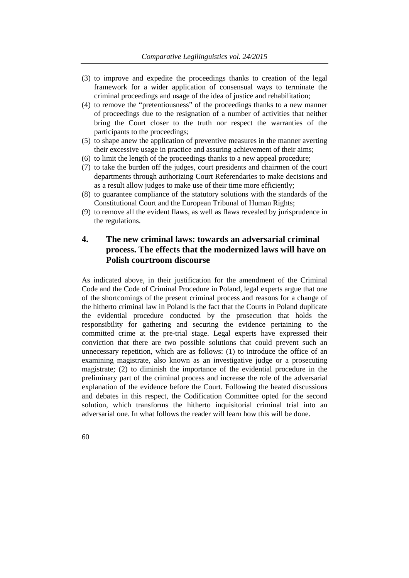- (3) to improve and expedite the proceedings thanks to creation of the legal framework for a wider application of consensual ways to terminate the criminal proceedings and usage of the idea of justice and rehabilitation;
- (4) to remove the "pretentiousness" of the proceedings thanks to a new manner of proceedings due to the resignation of a number of activities that neither bring the Court closer to the truth nor respect the warranties of the participants to the proceedings;
- (5) to shape anew the application of preventive measures in the manner averting their excessive usage in practice and assuring achievement of their aims;
- (6) to limit the length of the proceedings thanks to a new appeal procedure;
- (7) to take the burden off the judges, court presidents and chairmen of the court departments through authorizing Court Referendaries to make decisions and as a result allow judges to make use of their time more efficiently;
- (8) to guarantee compliance of the statutory solutions with the standards of the Constitutional Court and the European Tribunal of Human Rights;
- (9) to remove all the evident flaws, as well as flaws revealed by jurisprudence in the regulations.

## **4. The new criminal laws: towards an adversarial criminal process. The effects that the modernized laws will have on Polish courtroom discourse**

As indicated above, in their justification for the amendment of the Criminal Code and the Code of Criminal Procedure in Poland, legal experts argue that one of the shortcomings of the present criminal process and reasons for a change of the hitherto criminal law in Poland is the fact that the Courts in Poland duplicate the evidential procedure conducted by the prosecution that holds the responsibility for gathering and securing the evidence pertaining to the committed crime at the pre-trial stage. Legal experts have expressed their conviction that there are two possible solutions that could prevent such an unnecessary repetition, which are as follows: (1) to introduce the office of an examining magistrate, also known as an investigative judge or a prosecuting magistrate; (2) to diminish the importance of the evidential procedure in the preliminary part of the criminal process and increase the role of the adversarial explanation of the evidence before the Court. Following the heated discussions and debates in this respect, the Codification Committee opted for the second solution, which transforms the hitherto inquisitorial criminal trial into an adversarial one. In what follows the reader will learn how this will be done.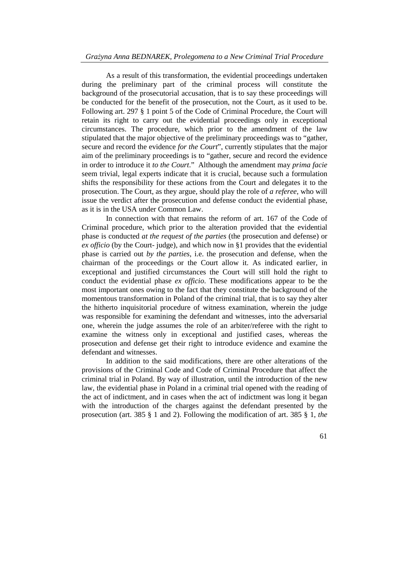#### *Grażyna Anna BEDNAREK, Prolegomena to a New Criminal Trial Procedure*

As a result of this transformation, the evidential proceedings undertaken during the preliminary part of the criminal process will constitute the background of the prosecutorial accusation, that is to say these proceedings will be conducted for the benefit of the prosecution, not the Court, as it used to be. Following art. 297 § 1 point 5 of the Code of Criminal Procedure, the Court will retain its right to carry out the evidential proceedings only in exceptional circumstances. The procedure, which prior to the amendment of the law stipulated that the major objective of the preliminary proceedings was to "gather, secure and record the evidence *for the Court*", currently stipulates that the major aim of the preliminary proceedings is to "gather, secure and record the evidence in order to introduce it *to the Court*." Although the amendment may *prima facie* seem trivial, legal experts indicate that it is crucial, because such a formulation shifts the responsibility for these actions from the Court and delegates it to the prosecution. The Court, as they argue, should play the role of *a referee*, who will issue the verdict after the prosecution and defense conduct the evidential phase, as it is in the USA under Common Law.

 In connection with that remains the reform of art. 167 of the Code of Criminal procedure, which prior to the alteration provided that the evidential phase is conducted *at the request of the parties* (the prosecution and defense) or *ex officio* (by the Court- judge), and which now in §1 provides that the evidential phase is carried out *by the parties*, i.e. the prosecution and defense, when the chairman of the proceedings or the Court allow it. As indicated earlier, in exceptional and justified circumstances the Court will still hold the right to conduct the evidential phase *ex officio*. These modifications appear to be the most important ones owing to the fact that they constitute the background of the momentous transformation in Poland of the criminal trial, that is to say they alter the hitherto inquisitorial procedure of witness examination, wherein the judge was responsible for examining the defendant and witnesses, into the adversarial one, wherein the judge assumes the role of an arbiter/referee with the right to examine the witness only in exceptional and justified cases, whereas the prosecution and defense get their right to introduce evidence and examine the defendant and witnesses.

 In addition to the said modifications, there are other alterations of the provisions of the Criminal Code and Code of Criminal Procedure that affect the criminal trial in Poland. By way of illustration, until the introduction of the new law, the evidential phase in Poland in a criminal trial opened with the reading of the act of indictment, and in cases when the act of indictment was long it began with the introduction of the charges against the defendant presented by the prosecution (art. 385 § 1 and 2). Following the modification of art. 385 § 1, *the*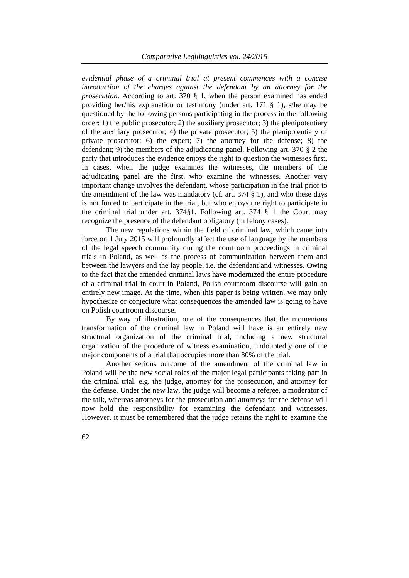*evidential phase of a criminal trial at present commences with a concise introduction of the charges against the defendant by an attorney for the prosecution*. According to art. 370 § 1, when the person examined has ended providing her/his explanation or testimony (under art. 171 § 1), s/he may be questioned by the following persons participating in the process in the following order: 1) the public prosecutor; 2) the auxiliary prosecutor; 3) the plenipotentiary of the auxiliary prosecutor; 4) the private prosecutor; 5) the plenipotentiary of private prosecutor; 6) the expert; 7) the attorney for the defense; 8) the defendant; 9) the members of the adjudicating panel. Following art. 370 § 2 the party that introduces the evidence enjoys the right to question the witnesses first. In cases, when the judge examines the witnesses, the members of the adjudicating panel are the first, who examine the witnesses. Another very important change involves the defendant, whose participation in the trial prior to the amendment of the law was mandatory (cf. art. 374 § 1), and who these days is not forced to participate in the trial, but who enjoys the right to participate in the criminal trial under art. 374§1. Following art. 374 § 1 the Court may recognize the presence of the defendant obligatory (in felony cases).

 The new regulations within the field of criminal law, which came into force on 1 July 2015 will profoundly affect the use of language by the members of the legal speech community during the courtroom proceedings in criminal trials in Poland, as well as the process of communication between them and between the lawyers and the lay people, i.e. the defendant and witnesses. Owing to the fact that the amended criminal laws have modernized the entire procedure of a criminal trial in court in Poland, Polish courtroom discourse will gain an entirely new image. At the time, when this paper is being written, we may only hypothesize or conjecture what consequences the amended law is going to have on Polish courtroom discourse.

By way of illustration, one of the consequences that the momentous transformation of the criminal law in Poland will have is an entirely new structural organization of the criminal trial, including a new structural organization of the procedure of witness examination, undoubtedly one of the major components of a trial that occupies more than 80% of the trial.

Another serious outcome of the amendment of the criminal law in Poland will be the new social roles of the major legal participants taking part in the criminal trial, e.g. the judge, attorney for the prosecution, and attorney for the defense. Under the new law, the judge will become a referee, a moderator of the talk, whereas attorneys for the prosecution and attorneys for the defense will now hold the responsibility for examining the defendant and witnesses. However, it must be remembered that the judge retains the right to examine the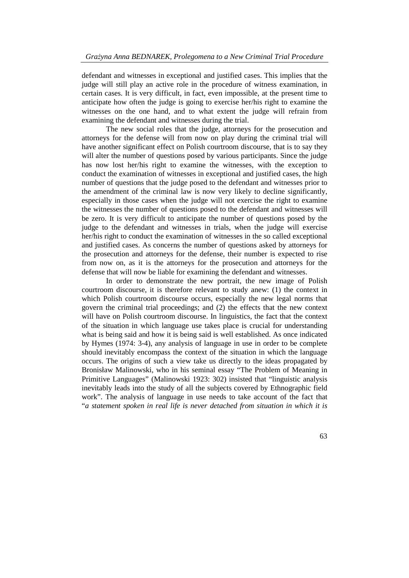defendant and witnesses in exceptional and justified cases. This implies that the judge will still play an active role in the procedure of witness examination, in certain cases. It is very difficult, in fact, even impossible, at the present time to anticipate how often the judge is going to exercise her/his right to examine the witnesses on the one hand, and to what extent the judge will refrain from examining the defendant and witnesses during the trial.

The new social roles that the judge, attorneys for the prosecution and attorneys for the defense will from now on play during the criminal trial will have another significant effect on Polish courtroom discourse, that is to say they will alter the number of questions posed by various participants. Since the judge has now lost her/his right to examine the witnesses, with the exception to conduct the examination of witnesses in exceptional and justified cases, the high number of questions that the judge posed to the defendant and witnesses prior to the amendment of the criminal law is now very likely to decline significantly, especially in those cases when the judge will not exercise the right to examine the witnesses the number of questions posed to the defendant and witnesses will be zero. It is very difficult to anticipate the number of questions posed by the judge to the defendant and witnesses in trials, when the judge will exercise her/his right to conduct the examination of witnesses in the so called exceptional and justified cases. As concerns the number of questions asked by attorneys for the prosecution and attorneys for the defense, their number is expected to rise from now on, as it is the attorneys for the prosecution and attorneys for the defense that will now be liable for examining the defendant and witnesses.

In order to demonstrate the new portrait, the new image of Polish courtroom discourse, it is therefore relevant to study anew: (1) the context in which Polish courtroom discourse occurs, especially the new legal norms that govern the criminal trial proceedings; and (2) the effects that the new context will have on Polish courtroom discourse. In linguistics, the fact that the context of the situation in which language use takes place is crucial for understanding what is being said and how it is being said is well established. As once indicated by Hymes (1974: 3-4), any analysis of language in use in order to be complete should inevitably encompass the context of the situation in which the language occurs. The origins of such a view take us directly to the ideas propagated by Bronisław Malinowski, who in his seminal essay "The Problem of Meaning in Primitive Languages" (Malinowski 1923: 302) insisted that "linguistic analysis inevitably leads into the study of all the subjects covered by Ethnographic field work". The analysis of language in use needs to take account of the fact that "*a statement spoken in real life is never detached from situation in which it is*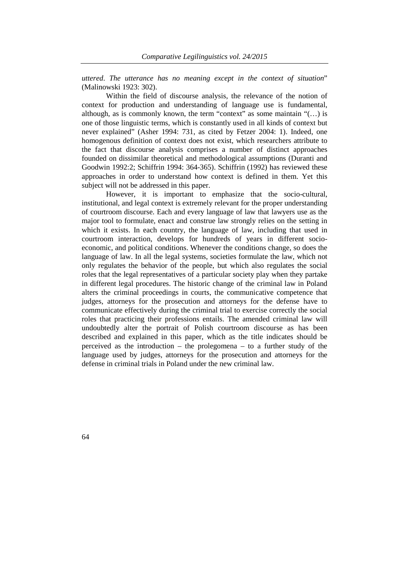*uttered*. *The utterance has no meaning except in the context of situation*" (Malinowski 1923: 302).

Within the field of discourse analysis, the relevance of the notion of context for production and understanding of language use is fundamental, although, as is commonly known, the term "context" as some maintain " $(...)$  is one of those linguistic terms, which is constantly used in all kinds of context but never explained" (Asher 1994: 731, as cited by Fetzer 2004: 1). Indeed, one homogenous definition of context does not exist, which researchers attribute to the fact that discourse analysis comprises a number of distinct approaches founded on dissimilar theoretical and methodological assumptions (Duranti and Goodwin 1992:2; Schiffrin 1994: 364-365). Schiffrin (1992) has reviewed these approaches in order to understand how context is defined in them. Yet this subject will not be addressed in this paper.

However, it is important to emphasize that the socio-cultural, institutional, and legal context is extremely relevant for the proper understanding of courtroom discourse. Each and every language of law that lawyers use as the major tool to formulate, enact and construe law strongly relies on the setting in which it exists. In each country, the language of law, including that used in courtroom interaction, develops for hundreds of years in different socioeconomic, and political conditions. Whenever the conditions change, so does the language of law. In all the legal systems, societies formulate the law, which not only regulates the behavior of the people, but which also regulates the social roles that the legal representatives of a particular society play when they partake in different legal procedures. The historic change of the criminal law in Poland alters the criminal proceedings in courts, the communicative competence that judges, attorneys for the prosecution and attorneys for the defense have to communicate effectively during the criminal trial to exercise correctly the social roles that practicing their professions entails. The amended criminal law will undoubtedly alter the portrait of Polish courtroom discourse as has been described and explained in this paper, which as the title indicates should be perceived as the introduction – the prolegomena – to a further study of the language used by judges, attorneys for the prosecution and attorneys for the defense in criminal trials in Poland under the new criminal law.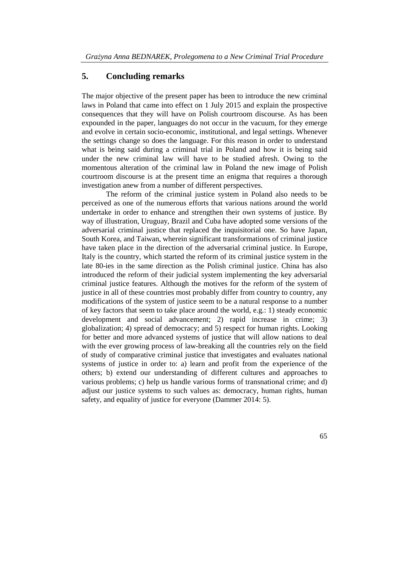### **5. Concluding remarks**

The major objective of the present paper has been to introduce the new criminal laws in Poland that came into effect on 1 July 2015 and explain the prospective consequences that they will have on Polish courtroom discourse. As has been expounded in the paper, languages do not occur in the vacuum, for they emerge and evolve in certain socio-economic, institutional, and legal settings. Whenever the settings change so does the language. For this reason in order to understand what is being said during a criminal trial in Poland and how it is being said under the new criminal law will have to be studied afresh. Owing to the momentous alteration of the criminal law in Poland the new image of Polish courtroom discourse is at the present time an enigma that requires a thorough investigation anew from a number of different perspectives.

The reform of the criminal justice system in Poland also needs to be perceived as one of the numerous efforts that various nations around the world undertake in order to enhance and strengthen their own systems of justice. By way of illustration, Uruguay, Brazil and Cuba have adopted some versions of the adversarial criminal justice that replaced the inquisitorial one. So have Japan, South Korea, and Taiwan, wherein significant transformations of criminal justice have taken place in the direction of the adversarial criminal justice. In Europe, Italy is the country, which started the reform of its criminal justice system in the late 80-ies in the same direction as the Polish criminal justice. China has also introduced the reform of their judicial system implementing the key adversarial criminal justice features. Although the motives for the reform of the system of justice in all of these countries most probably differ from country to country, any modifications of the system of justice seem to be a natural response to a number of key factors that seem to take place around the world, e.g.: 1) steady economic development and social advancement; 2) rapid increase in crime; 3) globalization; 4) spread of democracy; and 5) respect for human rights. Looking for better and more advanced systems of justice that will allow nations to deal with the ever growing process of law-breaking all the countries rely on the field of study of comparative criminal justice that investigates and evaluates national systems of justice in order to: a) learn and profit from the experience of the others; b) extend our understanding of different cultures and approaches to various problems; c) help us handle various forms of transnational crime; and d) adjust our justice systems to such values as: democracy, human rights, human safety, and equality of justice for everyone (Dammer 2014: 5).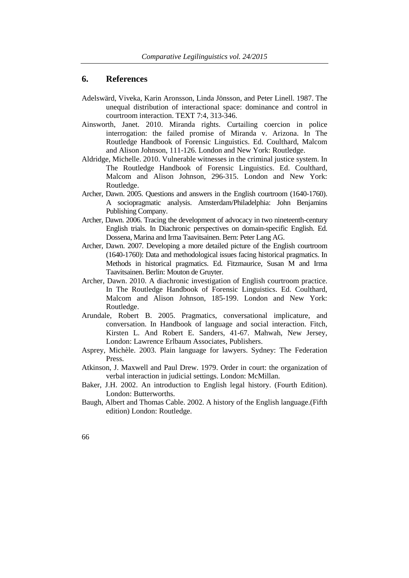### **6. References**

- Adelswärd, Viveka, Karin Aronsson, Linda Jönsson, and Peter Linell. 1987. The unequal distribution of interactional space: dominance and control in courtroom interaction. TEXT 7:4, 313-346.
- Ainsworth, Janet. 2010. Miranda rights. Curtailing coercion in police interrogation: the failed promise of Miranda v. Arizona. In The Routledge Handbook of Forensic Linguistics. Ed. Coulthard, Malcom and Alison Johnson, 111-126. London and New York: Routledge.
- Aldridge, Michelle. 2010. Vulnerable witnesses in the criminal justice system. In The Routledge Handbook of Forensic Linguistics. Ed. Coulthard, Malcom and Alison Johnson, 296-315. London and New York: Routledge.
- Archer, Dawn. 2005. Questions and answers in the English courtroom (1640-1760). A sociopragmatic analysis. Amsterdam/Philadelphia: John Benjamins Publishing Company.
- Archer, Dawn. 2006. Tracing the development of advocacy in two nineteenth-century English trials. In Diachronic perspectives on domain-specific English. Ed. Dossena, Marina and Irma Taavitsainen. Bern: Peter Lang AG.
- Archer, Dawn. 2007. Developing a more detailed picture of the English courtroom (1640-1760): Data and methodological issues facing historical pragmatics. In Methods in historical pragmatics. Ed. Fitzmaurice, Susan M and Irma Taavitsainen. Berlin: Mouton de Gruyter.
- Archer, Dawn. 2010. A diachronic investigation of English courtroom practice. In The Routledge Handbook of Forensic Linguistics. Ed. Coulthard, Malcom and Alison Johnson, 185-199. London and New York: Routledge.
- Arundale, Robert B. 2005. Pragmatics, conversational implicature, and conversation. In Handbook of language and social interaction. Fitch, Kirsten L. And Robert E. Sanders, 41-67. Mahwah, New Jersey, London: Lawrence Erlbaum Associates, Publishers.
- Asprey, Michèle. 2003. Plain language for lawyers. Sydney: The Federation Press.
- Atkinson, J. Maxwell and Paul Drew. 1979. Order in court: the organization of verbal interaction in judicial settings. London: McMillan.
- Baker, J.H. 2002. An introduction to English legal history. (Fourth Edition). London: Butterworths.
- Baugh, Albert and Thomas Cable. 2002. A history of the English language.(Fifth edition) London: Routledge.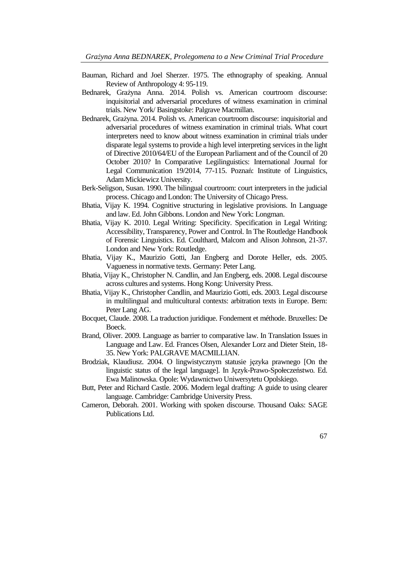- Bauman, Richard and Joel Sherzer. 1975. The ethnography of speaking. Annual Review of Anthropology 4: 95-119.
- Bednarek, Grażyna Anna. 2014. Polish vs. American courtroom discourse: inquisitorial and adversarial procedures of witness examination in criminal trials. New York/ Basingstoke: Palgrave Macmillan.
- Bednarek, Grażyna. 2014. Polish vs. American courtroom discourse: inquisitorial and adversarial procedures of witness examination in criminal trials. What court interpreters need to know about witness examination in criminal trials under disparate legal systems to provide a high level interpreting services in the light of Directive 2010/64/EU of the European Parliament and of the Council of 20 October 2010? In Comparative Legilinguistics: International Journal for Legal Communication 19/2014, 77-115. Poznań: Institute of Linguistics, Adam Mickiewicz University.
- Berk-Seligson, Susan. 1990. The bilingual courtroom: court interpreters in the judicial process. Chicago and London: The University of Chicago Press.
- Bhatia, Vijay K. 1994. Cognitive structuring in legislative provisions. In Language and law. Ed. John Gibbons. London and New York: Longman.
- Bhatia, Vijay K. 2010. Legal Writing: Specificity. Specification in Legal Writing: Accessibility, Transparency, Power and Control. In The Routledge Handbook of Forensic Linguistics. Ed. Coulthard, Malcom and Alison Johnson, 21-37. London and New York: Routledge.
- Bhatia, Vijay K., Maurizio Gotti, Jan Engberg and Dorote Heller, eds. 2005. Vagueness in normative texts. Germany: Peter Lang.
- Bhatia, Vijay K., Christopher N. Candlin, and Jan Engberg, eds. 2008. Legal discourse across cultures and systems. Hong Kong: University Press.
- Bhatia, Vijay K., Christopher Candlin, and Maurizio Gotti, eds. 2003. Legal discourse in multilingual and multicultural contexts: arbitration texts in Europe. Bern: Peter Lang AG.
- Bocquet, Claude. 2008. La traduction juridique. Fondement et méthode. Bruxelles: De Boeck.
- Brand, Oliver. 2009. Language as barrier to comparative law. In Translation Issues in Language and Law. Ed. Frances Olsen, Alexander Lorz and Dieter Stein, 18- 35. New York: PALGRAVE MACMILLIAN.
- Brodziak, Klaudiusz. 2004. O lingwistycznym statusie języka prawnego [On the linguistic status of the legal language]. In Język-Prawo-Społeczeństwo. Ed. Ewa Malinowska. Opole: Wydawnictwo Uniwersytetu Opolskiego.
- Butt, Peter and Richard Castle. 2006. Modern legal drafting: A guide to using clearer language. Cambridge: Cambridge University Press.
- Cameron, Deborah. 2001. Working with spoken discourse. Thousand Oaks: SAGE Publications Ltd.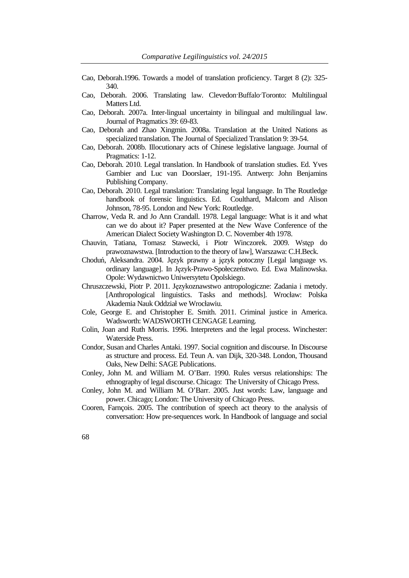- Cao, Deborah.1996. Towards a model of translation proficiency. Target 8 (2): 325- 340.
- Cao, Deborah. 2006. Translating law. Clevedon·Buffalo·Toronto: Multilingual Matters Ltd.
- Cao, Deborah. 2007a. Inter-lingual uncertainty in bilingual and multilingual law. Journal of Pragmatics 39: 69-83.
- Cao, Deborah and Zhao Xingmin. 2008a. Translation at the United Nations as specialized translation. The Journal of Specialized Translation 9: 39-54.
- Cao, Deborah. 2008b. Illocutionary acts of Chinese legislative language. Journal of Pragmatics: 1-12.
- Cao, Deborah. 2010. Legal translation. In Handbook of translation studies. Ed. Yves Gambier and Luc van Doorslaer, 191-195. Antwerp: John Benjamins Publishing Company.
- Cao, Deborah. 2010. Legal translation: Translating legal language. In The Routledge handbook of forensic linguistics. Ed. Coulthard, Malcom and Alison Johnson, 78-95. London and New York: Routledge.
- Charrow, Veda R. and Jo Ann Crandall. 1978. Legal language: What is it and what can we do about it? Paper presented at the New Wave Conference of the American Dialect Society Washington D. C. November 4th 1978.
- Chauvin, Tatiana, Tomasz Stawecki, i Piotr Winczorek. 2009. Wstęp do prawoznawstwa. [Introduction to the theory of law], Warszawa: C.H.Beck.
- Choduń, Aleksandra. 2004. Język prawny a język potoczny [Legal language vs. ordinary language]. In Język-Prawo-Społeczeństwo. Ed. Ewa Malinowska. Opole: Wydawnictwo Uniwersytetu Opolskiego.
- Chruszczewski, Piotr P. 2011. Językoznawstwo antropologiczne: Zadania i metody. [Anthropological linguistics. Tasks and methods]. Wrocław: Polska Akademia Nauk Oddział we Wrocławiu.
- Cole, George E. and Christopher E. Smith. 2011. Criminal justice in America. Wadsworth: WADSWORTH CENGAGE Learning.
- Colin, Joan and Ruth Morris. 1996. Interpreters and the legal process. Winchester: Waterside Press.
- Condor, Susan and Charles Antaki. 1997. Social cognition and discourse. In Discourse as structure and process. Ed. Teun A. van Dijk, 320-348. London, Thousand Oaks, New Delhi: SAGE Publications.
- Conley, John M. and William M. O'Barr. 1990. Rules versus relationships: The ethnography of legal discourse. Chicago: The University of Chicago Press.
- Conley, John M. and William M. O'Barr. 2005. Just words: Law, language and power. Chicago; London: The University of Chicago Press.
- Cooren, Farnçois. 2005. The contribution of speech act theory to the analysis of conversation: How pre-sequences work. In Handbook of language and social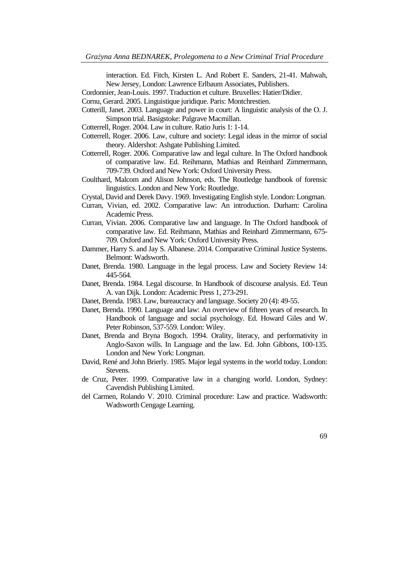interaction. Ed. Fitch, Kirsten L. And Robert E. Sanders, 21-41. Mahwah, New Jersey, London: Lawrence Erlbaum Associates, Publishers.

- Cordonnier, Jean-Louis. 1997. Traduction et culture. Bruxelles: Hatier/Didier.
- Cornu, Gerard. 2005. Linguistique juridique. Paris: Montchrestien.
- Cotterill, Janet. 2003. Language and power in court: A linguistic analysis of the O. J. Simpson trial. Basigstoke: Palgrave Macmillan.
- Cotterrell, Roger. 2004. Law in culture. Ratio Juris 1: 1-14.
- Cotterrell, Roger. 2006. Law, culture and society: Legal ideas in the mirror of social theory. Aldershot: Ashgate Publishing Limited.
- Cotterrell, Roger. 2006. Comparative law and legal culture. In The Oxford handbook of comparative law. Ed. Reihmann, Mathias and Reinhard Zimmermann, 709-739. Oxford and New York: Oxford University Press.
- Coulthard, Malcom and Alison Johnson, eds. The Routledge handbook of forensic linguistics. London and New York: Routledge.
- Crystal, David and Derek Davy. 1969. Investigating English style. London: Longman.
- Curran, Vivian, ed. 2002. Comparative law: An introduction. Durham: Carolina Academic Press.
- Curran, Vivian. 2006. Comparative law and language. In The Oxford handbook of comparative law. Ed. Reihmann, Mathias and Reinhard Zimmermann, 675- 709. Oxford and New York: Oxford University Press.
- Dammer, Harry S. and Jay S. Albanese. 2014. Comparative Criminal Justice Systems. Belmont: Wadsworth.
- Danet, Brenda. 1980. Language in the legal process. Law and Society Review 14: 445-564.
- Danet, Brenda. 1984. Legal discourse. In Handbook of discourse analysis. Ed. Teun A. van Dijk. London: Academic Press 1, 273-291.
- Danet, Brenda. 1983. Law, bureaucracy and language. Society 20 (4): 49-55.
- Danet, Brenda. 1990. Language and law: An overview of fifteen years of research. In Handbook of language and social psychology. Ed. Howard Giles and W. Peter Robinson, 537-559. London: Wiley.
- Danet, Brenda and Bryna Bogoch. 1994. Orality, literacy, and performativity in Anglo-Saxon wills. In Language and the law. Ed. John Gibbons, 100-135. London and New York: Longman.
- David, René and John Brierly. 1985. Major legal systems in the world today. London: Stevens.
- de Cruz, Peter. 1999. Comparative law in a changing world. London, Sydney: Cavendish Publishing Limited.
- del Carmen, Rolando V. 2010. Criminal procedure: Law and practice. Wadsworth: Wadsworth Cengage Learning.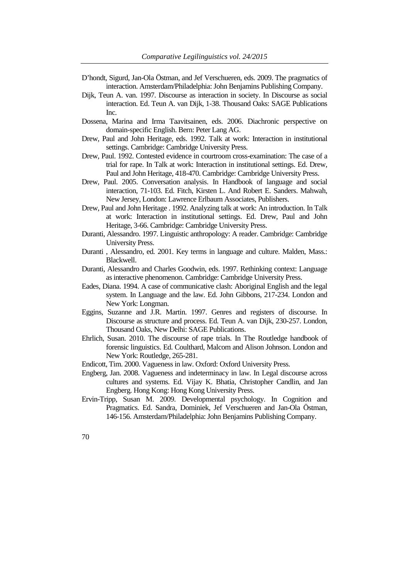- D'hondt, Sigurd, Jan-Ola Östman, and Jef Verschueren, eds. 2009. The pragmatics of interaction. Amsterdam/Philadelphia: John Benjamins Publishing Company.
- Dijk, Teun A. van. 1997. Discourse as interaction in society. In Discourse as social interaction. Ed. Teun A. van Dijk, 1-38. Thousand Oaks: SAGE Publications Inc.
- Dossena, Marina and Irma Taavitsainen, eds. 2006. Diachronic perspective on domain-specific English. Bern: Peter Lang AG.
- Drew, Paul and John Heritage, eds. 1992. Talk at work: Interaction in institutional settings. Cambridge: Cambridge University Press.
- Drew, Paul. 1992. Contested evidence in courtroom cross-examination: The case of a trial for rape. In Talk at work: Interaction in institutional settings. Ed. Drew, Paul and John Heritage, 418-470. Cambridge: Cambridge University Press.
- Drew, Paul. 2005. Conversation analysis. In Handbook of language and social interaction, 71-103. Ed. Fitch, Kirsten L. And Robert E. Sanders. Mahwah, New Jersey, London: Lawrence Erlbaum Associates, Publishers.
- Drew, Paul and John Heritage . 1992. Analyzing talk at work: An introduction. In Talk at work: Interaction in institutional settings. Ed. Drew, Paul and John Heritage, 3-66. Cambridge: Cambridge University Press.
- Duranti, Alessandro. 1997. Linguistic anthropology: A reader. Cambridge: Cambridge University Press.
- Duranti , Alessandro, ed. 2001. Key terms in language and culture. Malden, Mass.: Blackwell.
- Duranti, Alessandro and Charles Goodwin, eds. 1997. Rethinking context: Language as interactive phenomenon. Cambridge: Cambridge University Press.
- Eades, Diana. 1994. A case of communicative clash: Aboriginal English and the legal system. In Language and the law. Ed. John Gibbons, 217-234. London and New York: Longman.
- Eggins, Suzanne and J.R. Martin. 1997. Genres and registers of discourse. In Discourse as structure and process. Ed. Teun A. van Dijk, 230-257. London, Thousand Oaks, New Delhi: SAGE Publications.
- Ehrlich, Susan. 2010. The discourse of rape trials. In The Routledge handbook of forensic linguistics. Ed. Coulthard, Malcom and Alison Johnson. London and New York: Routledge, 265-281.
- Endicott, Tim. 2000. Vagueness in law. Oxford: Oxford University Press.
- Engberg, Jan. 2008. Vagueness and indeterminacy in law. In Legal discourse across cultures and systems. Ed. Vijay K. Bhatia, Christopher Candlin, and Jan Engberg. Hong Kong: Hong Kong University Press.
- Ervin-Tripp, Susan M. 2009. Developmental psychology. In Cognition and Pragmatics. Ed. Sandra, Dominiek, Jef Verschueren and Jan-Ola Östman, 146-156. Amsterdam/Philadelphia: John Benjamins Publishing Company.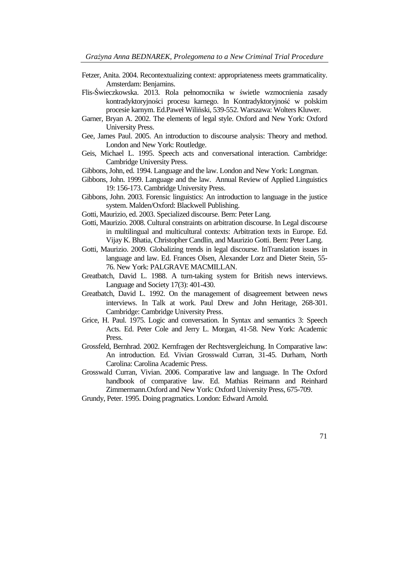- Fetzer, Anita. 2004. Recontextualizing context: appropriateness meets grammaticality. Amsterdam: Benjamins.
- Flis-Świeczkowska. 2013. Rola pełnomocnika w świetle wzmocnienia zasady kontradyktoryjności procesu karnego. In Kontradyktoryjność w polskim procesie karnym. Ed.Paweł Wiliński, 539-552. Warszawa: Wolters Kluwer.
- Garner, Bryan A. 2002. The elements of legal style. Oxford and New York: Oxford University Press.
- Gee, James Paul. 2005. An introduction to discourse analysis: Theory and method. London and New York: Routledge.
- Geis, Michael L. 1995. Speech acts and conversational interaction. Cambridge: Cambridge University Press.
- Gibbons, John, ed. 1994. Language and the law. London and New York: Longman.
- Gibbons, John. 1999. Language and the law. Annual Review of Applied Linguistics 19: 156-173. Cambridge University Press.
- Gibbons, John. 2003. Forensic linguistics: An introduction to language in the justice system. Malden/Oxford: Blackwell Publishing.
- Gotti, Maurizio, ed. 2003. Specialized discourse. Bern: Peter Lang.
- Gotti, Maurizio. 2008. Cultural constraints on arbitration discourse. In Legal discourse in multilingual and multicultural contexts: Arbitration texts in Europe. Ed. Vijay K. Bhatia, Christopher Candlin, and Maurizio Gotti. Bern: Peter Lang.
- Gotti, Maurizio. 2009. Globalizing trends in legal discourse. InTranslation issues in language and law. Ed. Frances Olsen, Alexander Lorz and Dieter Stein, 55- 76. New York: PALGRAVE MACMILLAN.
- Greatbatch, David L. 1988. A turn-taking system for British news interviews. Language and Society 17(3): 401-430.
- Greatbatch, David L. 1992. On the management of disagreement between news interviews. In Talk at work. Paul Drew and John Heritage, 268-301. Cambridge: Cambridge University Press.
- Grice, H. Paul. 1975. Logic and conversation. In Syntax and semantics 3: Speech Acts. Ed. Peter Cole and Jerry L. Morgan, 41-58. New York: Academic **Press**.
- Grossfeld, Bernhrad. 2002. Kernfragen der Rechtsvergleichung. In Comparative law: An introduction. Ed. Vivian Grosswald Curran, 31-45. Durham, North Carolina: Carolina Academic Press.
- Grosswald Curran, Vivian. 2006. Comparative law and language. In The Oxford handbook of comparative law. Ed. Mathias Reimann and Reinhard Zimmermann.Oxford and New York: Oxford University Press, 675-709.
- Grundy, Peter. 1995. Doing pragmatics. London: Edward Arnold.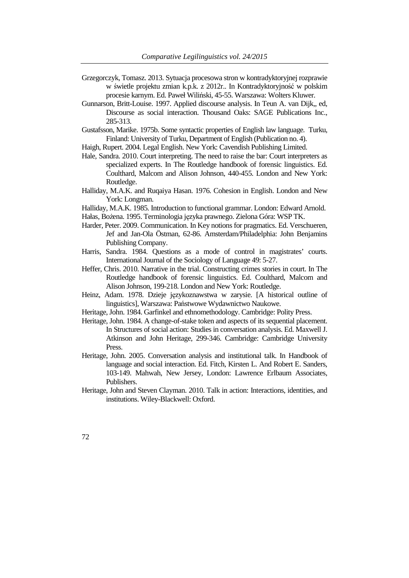- Grzegorczyk, Tomasz. 2013. Sytuacja procesowa stron w kontradyktoryjnej rozprawie w świetle projektu zmian k.p.k. z 2012r.. In Kontradyktoryjność w polskim procesie karnym. Ed. Paweł Wiliński, 45-55. Warszawa: Wolters Kluwer.
- Gunnarson, Britt-Louise. 1997. Applied discourse analysis. In Teun A. van Dijk,, ed, Discourse as social interaction. Thousand Oaks: SAGE Publications Inc., 285-313.
- Gustafsson, Marike. 1975b. Some syntactic properties of English law language. Turku, Finland: University of Turku, Department of English (Publication no. 4).
- Haigh, Rupert. 2004. Legal English. New York: Cavendish Publishing Limited.
- Hale, Sandra. 2010. Court interpreting. The need to raise the bar: Court interpreters as specialized experts. In The Routledge handbook of forensic linguistics. Ed. Coulthard, Malcom and Alison Johnson, 440-455. London and New York: Routledge.
- Halliday, M.A.K. and Ruqaiya Hasan. 1976. Cohesion in English. London and New York: Longman.
- Halliday, M.A.K. 1985. Introduction to functional grammar. London: Edward Arnold.
- Hałas, Bożena. 1995. Terminologia języka prawnego. Zielona Góra: WSP TK.
- Harder, Peter. 2009. Communication. In Key notions for pragmatics. Ed. Verschueren, Jef and Jan-Ola Östman, 62-86. Amsterdam/Philadelphia: John Benjamins Publishing Company.
- Harris, Sandra. 1984. Questions as a mode of control in magistrates' courts. International Journal of the Sociology of Language 49: 5-27.
- Heffer, Chris. 2010. Narrative in the trial. Constructing crimes stories in court. In The Routledge handbook of forensic linguistics. Ed. Coulthard, Malcom and Alison Johnson, 199-218. London and New York: Routledge.
- Heinz, Adam. 1978. Dzieje językoznawstwa w zarysie. [A historical outline of linguistics], Warszawa: Państwowe Wydawnictwo Naukowe.
- Heritage, John. 1984. Garfinkel and ethnomethodology. Cambridge: Polity Press.
- Heritage, John. 1984. A change-of-stake token and aspects of its sequential placement. In Structures of social action: Studies in conversation analysis. Ed. Maxwell J. Atkinson and John Heritage, 299-346. Cambridge: Cambridge University Press.
- Heritage, John. 2005. Conversation analysis and institutional talk. In Handbook of language and social interaction. Ed. Fitch, Kirsten L. And Robert E. Sanders, 103-149. Mahwah, New Jersey, London: Lawrence Erlbaum Associates, Publishers.
- Heritage, John and Steven Clayman. 2010. Talk in action: Interactions, identities, and institutions. Wiley-Blackwell: Oxford.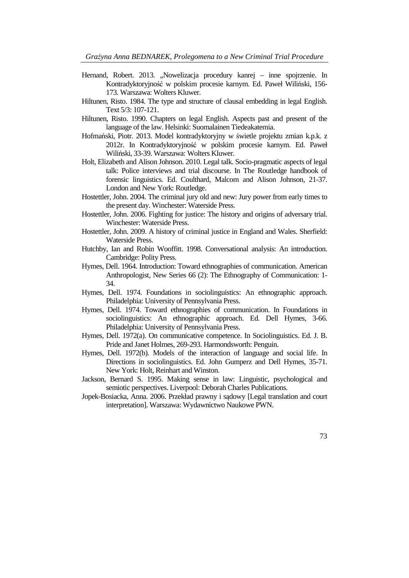- Hernand, Robert. 2013. "Nowelizacja procedury kanrej inne spojrzenie. In Kontradyktoryjność w polskim procesie karnym. Ed. Paweł Wiliński, 156- 173. Warszawa: Wolters Kluwer.
- Hiltunen, Risto. 1984. The type and structure of clausal embedding in legal English. Text 5/3: 107-121.
- Hiltunen, Risto. 1990. Chapters on legal English. Aspects past and present of the language of the law. Helsinki: Suomalainen Tiedeakatemia.
- Hofmański, Piotr. 2013. Model kontradyktoryjny w świetle projektu zmian k.p.k. z 2012r. In Kontradyktoryjność w polskim procesie karnym. Ed. Paweł Wiliński, 33-39. Warszawa: Wolters Kluwer.
- Holt, Elizabeth and Alison Johnson. 2010. Legal talk. Socio-pragmatic aspects of legal talk: Police interviews and trial discourse. In The Routledge handbook of forensic linguistics. Ed. Coulthard, Malcom and Alison Johnson, 21-37. London and New York: Routledge.
- Hostettler, John. 2004. The criminal jury old and new: Jury power from early times to the present day. Winchester: Waterside Press.
- Hostettler, John. 2006. Fighting for justice: The history and origins of adversary trial. Winchester: Waterside Press.
- Hostettler, John. 2009. A history of criminal justice in England and Wales. Sherfield: Waterside Press.
- Hutchby, Ian and Robin Wooffitt. 1998. Conversational analysis: An introduction. Cambridge: Polity Press.
- Hymes, Dell. 1964. Introduction: Toward ethnographies of communication. American Anthropologist, New Series 66 (2): The Ethnography of Communication: 1- 34.
- Hymes, Dell. 1974. Foundations in sociolinguistics: An ethnographic approach. Philadelphia: University of Pennsylvania Press.
- Hymes, Dell. 1974. Toward ethnographies of communication. In Foundations in sociolinguistics: An ethnographic approach. Ed. Dell Hymes, 3-66. Philadelphia: University of Pennsylvania Press.
- Hymes, Dell. 1972(a). On communicative competence. In Sociolinguistics. Ed. J. B. Pride and Janet Holmes, 269-293. Harmondsworth: Penguin.
- Hymes, Dell. 1972(b). Models of the interaction of language and social life. In Directions in sociolinguistics. Ed. John Gumperz and Dell Hymes, 35-71. New York: Holt, Reinhart and Winston.
- Jackson, Bernard S. 1995. Making sense in law: Linguistic, psychological and semiotic perspectives. Liverpool: Deborah Charles Publications.
- Jopek-Bosiacka, Anna. 2006. Przekład prawny i sądowy [Legal translation and court interpretation]. Warszawa: Wydawnictwo Naukowe PWN.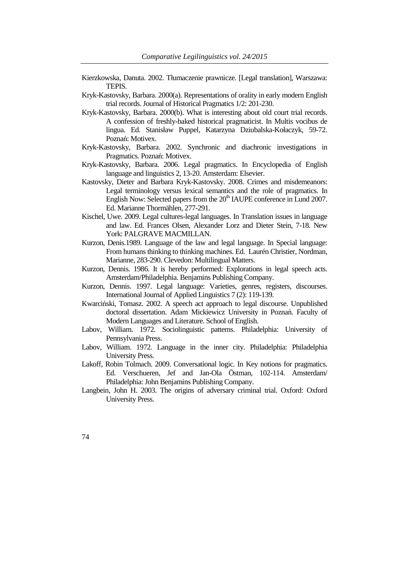- Kierzkowska, Danuta. 2002. Tłumaczenie prawnicze. [Legal translation], Warszawa: TEPIS.
- Kryk-Kastovsky, Barbara. 2000(a). Representations of orality in early modern English trial records. Journal of Historical Pragmatics 1/2: 201-230.
- Kryk-Kastovsky, Barbara. 2000(b). What is interesting about old court trial records. A confession of freshly-baked historical pragmaticist. In Multis vocibus de lingua. Ed. Stanisław Puppel, Katarzyna Dziubalska-Kołaczyk, 59-72. Poznań: Motivex.
- Kryk-Kastovsky, Barbara. 2002. Synchronic and diachronic investigations in Pragmatics. Poznań: Motivex.
- Kryk-Kastovsky, Barbara. 2006. Legal pragmatics. In Encyclopedia of English language and linguistics 2, 13-20. Amsterdam: Elsevier.
- Kastovsky, Dieter and Barbara Kryk-Kastovsky. 2008. Crimes and misdemeanors: Legal terminology versus lexical semantics and the role of pragmatics. In English Now: Selected papers from the  $20<sup>th</sup>$  IAUPE conference in Lund 2007. Ed. Marianne Thormählen, 277-291.
- Kischel, Uwe. 2009. Legal cultures-legal languages. In Translation issues in language and law. Ed. Frances Olsen, Alexander Lorz and Dieter Stein, 7-18. New York: PALGRAVE MACMILLAN.
- Kurzon, Denis.1989. Language of the law and legal language. In Special language: From humans thinking to thinking machines. Ed. Laurén Christier, Nordman, Marianne, 283-290. Clevedon: Multilingual Matters.
- Kurzon, Dennis. 1986. It is hereby performed: Explorations in legal speech acts. Amsterdam/Philadelphia. Benjamins Publishing Company.
- Kurzon, Dennis. 1997. Legal language: Varieties, genres, registers, discourses. International Journal of Applied Linguistics 7 (2): 119-139.
- Kwarciński, Tomasz. 2002. A speech act approach to legal discourse. Unpublished doctoral dissertation. Adam Mickiewicz University in Poznań. Faculty of Modern Languages and Literature. School of English.
- Labov, William. 1972. Sociolinguistic patterns. Philadelphia: University of Pennsylvania Press.
- Labov, William. 1972. Language in the inner city. Philadelphia: Philadelphia University Press.
- Lakoff, Robin Tolmach. 2009. Conversational logic. In Key notions for pragmatics. Ed. Verschueren, Jef and Jan-Ola Östman, 102-114. Amsterdam/ Philadelphia: John Benjamins Publishing Company.
- Langbein, John H. 2003. The origins of adversary criminal trial. Oxford: Oxford University Press.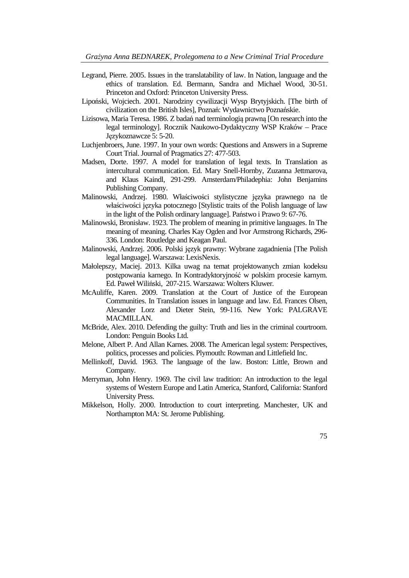- Legrand, Pierre. 2005. Issues in the translatability of law. In Nation, language and the ethics of translation. Ed. Bermann, Sandra and Michael Wood, 30-51. Princeton and Oxford: Princeton University Press.
- Lipoński, Wojciech. 2001. Narodziny cywilizacji Wysp Brytyjskich. [The birth of civilization on the British Isles], Poznań: Wydawnictwo Poznańskie.
- Lizisowa, Maria Teresa. 1986. Z badań nad terminologią prawną [On research into the legal terminology]. Rocznik Naukowo-Dydaktyczny WSP Kraków – Prace Językoznawcze 5: 5-20.
- Luchjenbroers, June. 1997. In your own words: Questions and Answers in a Supreme Court Trial. Journal of Pragmatics 27: 477-503.
- Madsen, Dorte. 1997. A model for translation of legal texts. In Translation as intercultural communication. Ed. Mary Snell-Hornby, Zuzanna Jettmarova, and Klaus Kaindl, 291-299. Amsterdam/Philadephia: John Benjamins Publishing Company.
- Malinowski, Andrzej. 1980. Właściwości stylistyczne języka prawnego na tle właściwości języka potocznego [Stylistic traits of the Polish language of law in the light of the Polish ordinary language]. Państwo i Prawo 9: 67-76.
- Malinowski, Bronisław. 1923. The problem of meaning in primitive languages. In The meaning of meaning. Charles Kay Ogden and Ivor Armstrong Richards, 296- 336. London: Routledge and Keagan Paul.
- Malinowski, Andrzej. 2006. Polski język prawny: Wybrane zagadnienia [The Polish legal language]. Warszawa: LexisNexis.
- Małolepszy, Maciej. 2013. Kilka uwag na temat projektowanych zmian kodeksu postępowania karnego. In Kontradyktoryjność w polskim procesie karnym. Ed. Paweł Wiliński, 207-215. Warszawa: Wolters Kluwer.
- McAuliffe, Karen. 2009. Translation at the Court of Justice of the European Communities. In Translation issues in language and law. Ed. Frances Olsen, Alexander Lorz and Dieter Stein, 99-116. New York: PALGRAVE MACMILLAN.
- McBride, Alex. 2010. Defending the guilty: Truth and lies in the criminal courtroom. London: Penguin Books Ltd.
- Melone, Albert P. And Allan Karnes. 2008. The American legal system: Perspectives, politics, processes and policies. Plymouth: Rowman and Littlefield Inc.
- Mellinkoff, David. 1963. The language of the law. Boston: Little, Brown and Company.
- Merryman, John Henry. 1969. The civil law tradition: An introduction to the legal systems of Western Europe and Latin America, Stanford, California: Stanford University Press.
- Mikkelson, Holly. 2000. Introduction to court interpreting. Manchester, UK and Northampton MA: St. Jerome Publishing.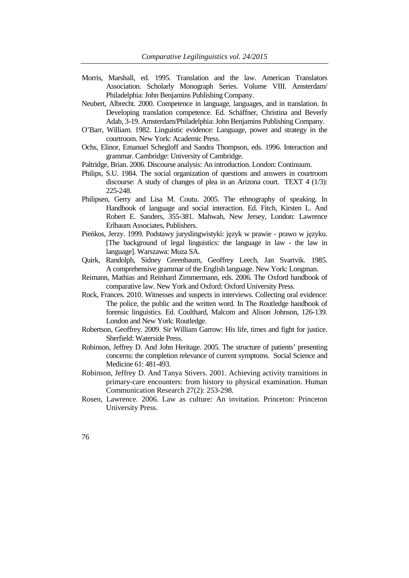- Morris, Marshall, ed. 1995. Translation and the law. American Translators Association. Scholarly Monograph Series. Volume VIII. Amsterdam/ Philadelphia: John Benjamins Publishing Company.
- Neubert, Albrecht. 2000. Competence in language, languages, and in translation. In Developing translation competence. Ed. Schäffner, Christina and Beverly Adab, 3-19. Amsterdam/Philadelphia: John Benjamins Publishing Company.
- O'Barr, William. 1982. Linguistic evidence: Language, power and strategy in the courtroom. New York: Academic Press.
- Ochs, Elinor, Emanuel Schegloff and Sandra Thompson, eds. 1996. Interaction and grammar. Cambridge: University of Cambridge.
- Paltridge, Brian. 2006. Discourse analysis: An introduction. London: Continuum.
- Philips, S.U. 1984. The social organization of questions and answers in courtroom discourse: A study of changes of plea in an Arizona court. TEXT 4 (1/3): 225-248.
- Philipsen, Gerry and Lisa M. Coutu. 2005. The ethnography of speaking. In Handbook of language and social interaction. Ed. Fitch, Kirsten L. And Robert E. Sanders, 355-381. Mahwah, New Jersey, London: Lawrence Erlbaum Associates, Publishers.
- Pieńkos, Jerzy. 1999. Podstawy juryslingwistyki: język w prawie prawo w języku. [The background of legal linguistics: the language in law - the law in language]. Warszawa: Muza SA.
- Quirk, Randolph, Sidney Greenbaum, Geoffrey Leech, Jan Svartvik. 1985. A comprehensive grammar of the English language. New York: Longman.
- Reimann, Mathias and Reinhard Zimmermann, eds. 2006. The Oxford handbook of comparative law. New York and Oxford: Oxford University Press.
- Rock, Frances. 2010. Witnesses and suspects in interviews. Collecting oral evidence: The police, the public and the written word. In The Routledge handbook of forensic linguistics. Ed. Coulthard, Malcom and Alison Johnson, 126-139. London and New York: Routledge.
- Robertson, Geoffrey. 2009. Sir William Garrow: His life, times and fight for justice. Sherfield: Waterside Press.
- Robinson, Jeffrey D. And John Heritage. 2005. The structure of patients' presenting concerns: the completion relevance of current symptoms. Social Science and Medicine 61: 481-493.
- Robinson, Jeffrey D. And Tanya Stivers. 2001. Achieving activity transitions in primary-care encounters: from history to physical examination. Human Communication Research 27(2): 253-298.
- Rosen, Lawrence. 2006. Law as culture: An invitation. Princeton: Princeton University Press.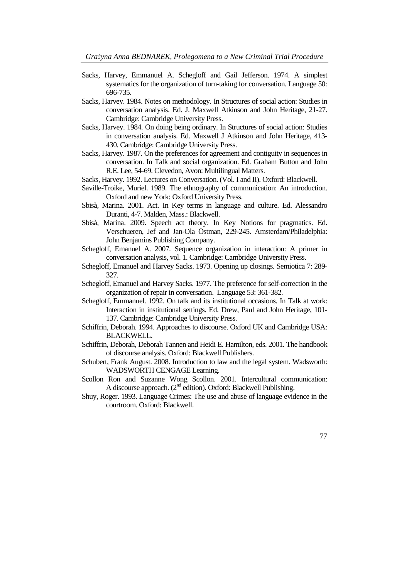- Sacks, Harvey, Emmanuel A. Schegloff and Gail Jefferson. 1974. A simplest systematics for the organization of turn-taking for conversation. Language 50: 696-735.
- Sacks, Harvey. 1984. Notes on methodology. In Structures of social action: Studies in conversation analysis. Ed. J. Maxwell Atkinson and John Heritage, 21-27. Cambridge: Cambridge University Press.
- Sacks, Harvey. 1984. On doing being ordinary. In Structures of social action: Studies in conversation analysis. Ed. Maxwell J Atkinson and John Heritage, 413- 430. Cambridge: Cambridge University Press.
- Sacks, Harvey. 1987. On the preferences for agreement and contiguity in sequences in conversation. In Talk and social organization. Ed. Graham Button and John R.E. Lee, 54-69. Clevedon, Avon: Multilingual Matters.
- Sacks, Harvey. 1992. Lectures on Conversation. (Vol. I and II). Oxford: Blackwell.
- Saville-Troike, Muriel. 1989. The ethnography of communication: An introduction. Oxford and new York: Oxford University Press.
- Sbisà, Marina. 2001. Act. In Key terms in language and culture. Ed. Alessandro Duranti, 4-7. Malden, Mass.: Blackwell.
- Sbisà, Marina. 2009. Speech act theory. In Key Notions for pragmatics. Ed. Verschueren, Jef and Jan-Ola Östman, 229-245. Amsterdam/Philadelphia: John Benjamins Publishing Company.
- Schegloff, Emanuel A. 2007. Sequence organization in interaction: A primer in conversation analysis, vol. 1. Cambridge: Cambridge University Press.
- Schegloff, Emanuel and Harvey Sacks. 1973. Opening up closings. Semiotica 7: 289- 327.
- Schegloff, Emanuel and Harvey Sacks. 1977. The preference for self-correction in the organization of repair in conversation. Language 53: 361-382.
- Schegloff, Emmanuel. 1992. On talk and its institutional occasions. In Talk at work: Interaction in institutional settings. Ed. Drew, Paul and John Heritage, 101- 137. Cambridge: Cambridge University Press.
- Schiffrin, Deborah. 1994. Approaches to discourse. Oxford UK and Cambridge USA: BLACKWELL.
- Schiffrin, Deborah, Deborah Tannen and Heidi E. Hamilton, eds. 2001. The handbook of discourse analysis. Oxford: Blackwell Publishers.
- Schubert, Frank August. 2008. Introduction to law and the legal system. Wadsworth: WADSWORTH CENGAGE Learning.
- Scollon Ron and Suzanne Wong Scollon. 2001. Intercultural communication: A discourse approach. (2<sup>nd</sup> edition). Oxford: Blackwell Publishing.
- Shuy, Roger. 1993. Language Crimes: The use and abuse of language evidence in the courtroom. Oxford: Blackwell.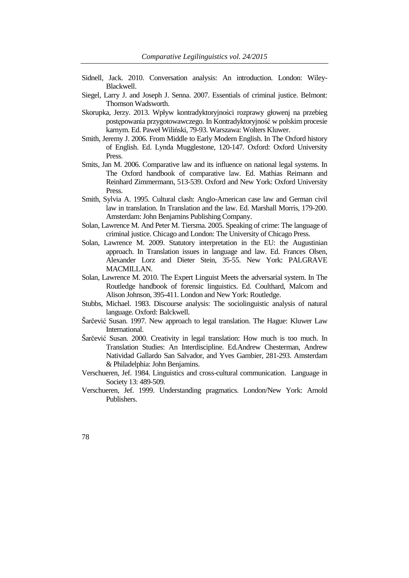- Sidnell, Jack. 2010. Conversation analysis: An introduction. London: Wiley-Blackwell.
- Siegel, Larry J. and Joseph J. Senna. 2007. Essentials of criminal justice. Belmont: Thomson Wadsworth.
- Skorupka, Jerzy. 2013. Wpływ kontradyktoryjności rozprawy głowenj na przebieg postępowania przygotowawczego. In Kontradyktoryjność w polskim procesie karnym. Ed. Paweł Wiliński, 79-93. Warszawa: Wolters Kluwer.
- Smith, Jeremy J. 2006. From Middle to Early Modern English. In The Oxford history of English. Ed. Lynda Mugglestone, 120-147. Oxford: Oxford University Press.
- Smits, Jan M. 2006. Comparative law and its influence on national legal systems. In The Oxford handbook of comparative law. Ed. Mathias Reimann and Reinhard Zimmermann, 513-539. Oxford and New York: Oxford University Press.
- Smith, Sylvia A. 1995. Cultural clash: Anglo-American case law and German civil law in translation. In Translation and the law. Ed. Marshall Morris, 179-200. Amsterdam: John Benjamins Publishing Company.
- Solan, Lawrence M. And Peter M. Tiersma. 2005. Speaking of crime: The language of criminal justice. Chicago and London: The University of Chicago Press.
- Solan, Lawrence M. 2009. Statutory interpretation in the EU: the Augustinian approach. In Translation issues in language and law. Ed. Frances Olsen, Alexander Lorz and Dieter Stein, 35-55. New York: PALGRAVE MACMILLAN.
- Solan, Lawrence M. 2010. The Expert Linguist Meets the adversarial system. In The Routledge handbook of forensic linguistics. Ed. Coulthard, Malcom and Alison Johnson, 395-411. London and New York: Routledge.
- Stubbs, Michael. 1983. Discourse analysis: The sociolinguistic analysis of natural language. Oxford: Balckwell.
- Šarčević Susan. 1997. New approach to legal translation. The Hague: Kluwer Law International.
- Šarčević Susan. 2000. Creativity in legal translation: How much is too much. In Translation Studies: An Interdiscipline. Ed.Andrew Chesterman, Andrew Natividad Gallardo San Salvador, and Yves Gambier, 281-293. Amsterdam & Philadelphia: John Benjamins.
- Verschueren, Jef. 1984. Linguistics and cross-cultural communication. Language in Society 13: 489-509.
- Verschueren, Jef. 1999. Understanding pragmatics. London/New York: Arnold Publishers.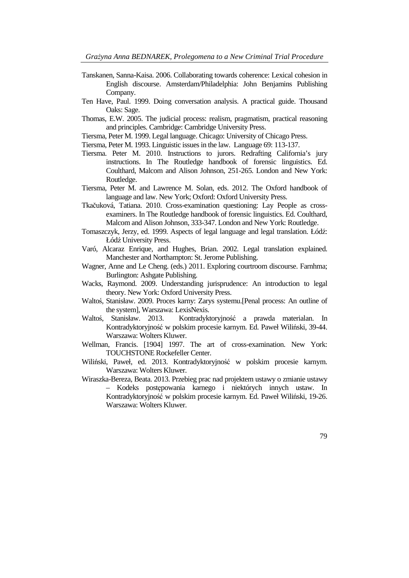- Tanskanen, Sanna-Kaisa. 2006. Collaborating towards coherence: Lexical cohesion in English discourse. Amsterdam/Philadelphia: John Benjamins Publishing Company.
- Ten Have, Paul. 1999. Doing conversation analysis. A practical guide. Thousand Oaks: Sage.
- Thomas, E.W. 2005. The judicial process: realism, pragmatism, practical reasoning and principles. Cambridge: Cambridge University Press.
- Tiersma, Peter M. 1999. Legal language. Chicago: University of Chicago Press.
- Tiersma, Peter M. 1993. Linguistic issues in the law. Language 69: 113-137.
- Tiersma. Peter M. 2010. Instructions to jurors. Redrafting California's jury instructions. In The Routledge handbook of forensic linguistics. Ed. Coulthard, Malcom and Alison Johnson, 251-265. London and New York: Routledge.
- Tiersma, Peter M. and Lawrence M. Solan, eds. 2012. The Oxford handbook of language and law. New York; Oxford: Oxford University Press.
- Tkačuková, Tatiana. 2010. Cross-examination questioning: Lay People as crossexaminers. In The Routledge handbook of forensic linguistics. Ed. Coulthard, Malcom and Alison Johnson, 333-347. London and New York: Routledge.
- Tomaszczyk, Jerzy, ed. 1999. Aspects of legal language and legal translation. Łódź: Łódź University Press.
- Varó, Alcaraz Enrique, and Hughes, Brian. 2002. Legal translation explained. Manchester and Northampton: St. Jerome Publishing.
- Wagner, Anne and Le Cheng. (eds.) 2011. Exploring courtroom discourse. Farnhma; Burlington: Ashgate Publishing.
- Wacks, Raymond. 2009. Understanding jurisprudence: An introduction to legal theory. New York: Oxford University Press.
- Waltoś, Stanisław. 2009. Proces karny: Zarys systemu.[Penal process: An outline of the system], Warszawa: LexisNexis.
- Waltoś, Stanisław. 2013. Kontradyktoryjność a prawda materialan. In Kontradyktoryjność w polskim procesie karnym. Ed. Paweł Wiliński, 39-44. Warszawa: Wolters Kluwer.
- Wellman, Francis. [1904] 1997. The art of cross-examination. New York: TOUCHSTONE Rockefeller Center.
- Wiliński, Paweł, ed. 2013. Kontradyktoryjność w polskim procesie karnym. Warszawa: Wolters Kluwer.
- Wiraszka-Bereza, Beata. 2013. Przebieg prac nad projektem ustawy o zmianie ustawy – Kodeks postępowania karnego i niektórych innych ustaw. In Kontradyktoryjność w polskim procesie karnym. Ed. Paweł Wiliński, 19-26. Warszawa: Wolters Kluwer.